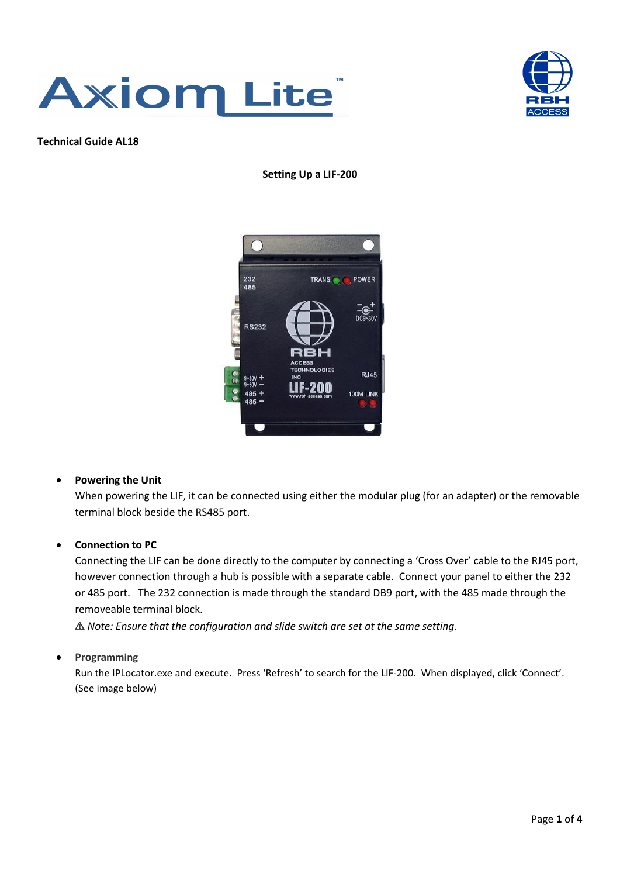



**Technical Guide AL18**

#### **Setting Up a LIF-200**



## • **Powering the Unit**

When powering the LIF, it can be connected using either the modular plug (for an adapter) or the removable terminal block beside the RS485 port.

## • **Connection to PC**

Connecting the LIF can be done directly to the computer by connecting a 'Cross Over' cable to the RJ45 port, however connection through a hub is possible with a separate cable. Connect your panel to either the 232 or 485 port. The 232 connection is made through the standard DB9 port, with the 485 made through the removeable terminal block.

⚠ *Note: Ensure that the configuration and slide switch are set at the same setting.*

## • **Programming**

Run the IPLocator.exe and execute. Press 'Refresh' to search for the LIF-200. When displayed, click 'Connect'. (See image below)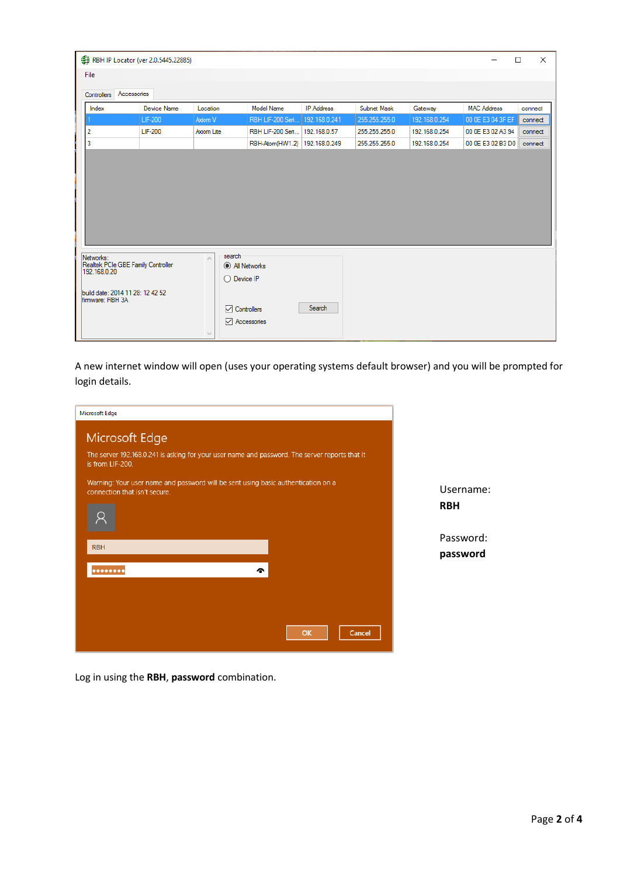| RBH IP Locator (ver 2.0.5445.22885)                             |             |                                                      |                   |                   |               |               | □                  | $\times$ |
|-----------------------------------------------------------------|-------------|------------------------------------------------------|-------------------|-------------------|---------------|---------------|--------------------|----------|
| File                                                            |             |                                                      |                   |                   |               |               |                    |          |
| Accessories<br>Controllers                                      |             |                                                      |                   |                   |               |               |                    |          |
| Index                                                           | Device Name | Location                                             | <b>Model Name</b> | <b>IP Address</b> | Subnet Mask   | Gateway       | <b>MAC Address</b> | connect  |
|                                                                 | LIF-200     | Axiom V                                              | RBH LIF-200 Seri  | 192.168.0.241     | 255.255.255.0 | 192.168.0.254 | 00 0E E3 04 3F EF  | connect  |
| $\overline{2}$                                                  | LIF-200     | Axiom Lite                                           | RBH LIF-200 Seri  | 192.168.0.57      | 255.255.255.0 | 192.168.0.254 | 00 OE E3 02 A3 94  | connect  |
| $\overline{3}$                                                  |             |                                                      | RBH-Atom(HW1.2)   | 192.168.0.249     | 255.255.255.0 | 192.168.0.254 | 00 0E E3 02 B3 D0  | connect  |
|                                                                 |             |                                                      |                   |                   |               |               |                    |          |
| Networks:<br>Realtek PCIe GBE Family Controller<br>192.168.0.20 |             | search<br>$\hat{\rho}_{\rm{b}}$<br>All Networks<br>Ω | Device IP         |                   |               |               |                    |          |
|                                                                 |             |                                                      |                   |                   |               |               |                    |          |

A new internet window will open (uses your operating systems default browser) and you will be prompted for login details.

| <b>Microsoft Edge</b>                                                                                              |            |
|--------------------------------------------------------------------------------------------------------------------|------------|
| Microsoft Edge                                                                                                     |            |
| The server 192.168.0.241 is asking for your user name and password. The server reports that it<br>is from LIF-200. |            |
| Warning: Your user name and password will be sent using basic authentication on a<br>connection that isn't secure. | Username:  |
|                                                                                                                    | <b>RBH</b> |
| <b>RBH</b>                                                                                                         | Password:  |
|                                                                                                                    | password   |
| ົ                                                                                                                  |            |
|                                                                                                                    |            |
| OK<br><b>Cancel</b>                                                                                                |            |

Log in using the **RBH**, **password** combination.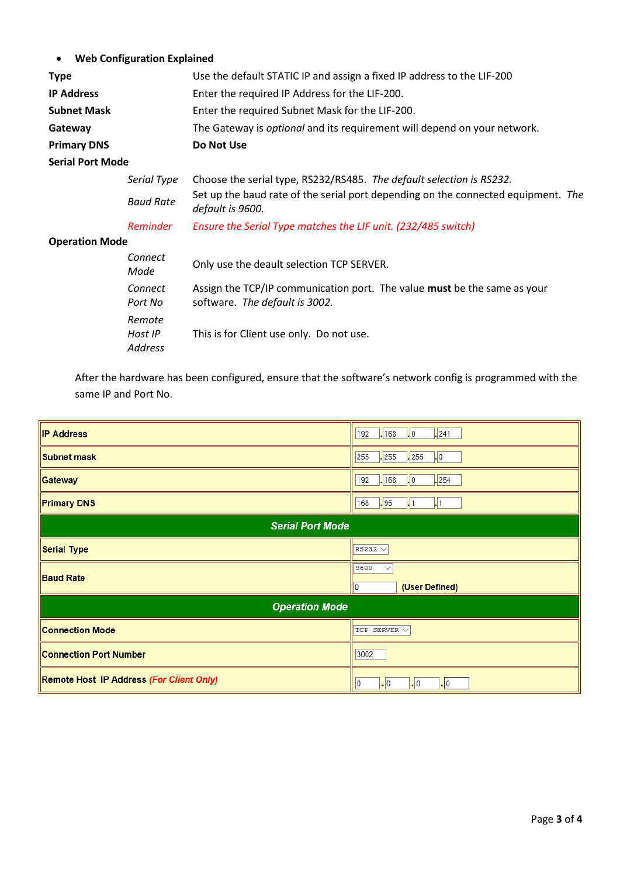# • **Web Configuration Explained**

| <b>Type</b>             |                                     | Use the default STATIC IP and assign a fixed IP address to the LIF-200                                     |
|-------------------------|-------------------------------------|------------------------------------------------------------------------------------------------------------|
| <b>IP Address</b>       |                                     | Enter the required IP Address for the LIF-200.                                                             |
| <b>Subnet Mask</b>      |                                     | Enter the required Subnet Mask for the LIF-200.                                                            |
| Gateway                 |                                     | The Gateway is <i>optional</i> and its requirement will depend on your network.                            |
| <b>Primary DNS</b>      |                                     | Do Not Use                                                                                                 |
| <b>Serial Port Mode</b> |                                     |                                                                                                            |
|                         | Serial Type                         | Choose the serial type, RS232/RS485. The default selection is RS232.                                       |
|                         | <b>Baud Rate</b>                    | Set up the baud rate of the serial port depending on the connected equipment. The<br>default is 9600.      |
|                         | <b>Reminder</b>                     | Ensure the Serial Type matches the LIF unit. (232/485 switch)                                              |
| <b>Operation Mode</b>   |                                     |                                                                                                            |
|                         | Connect<br>Mode                     | Only use the deault selection TCP SERVER.                                                                  |
|                         | Connect<br>Port No                  | Assign the TCP/IP communication port. The value must be the same as your<br>software. The default is 3002. |
|                         | Remote<br>Host IP<br><b>Address</b> | This is for Client use only. Do not use.                                                                   |

After the hardware has been configured, ensure that the software's network config is programmed with the same IP and Port No.

| <b>IP Address</b>                        | $-168$<br>$\frac{1}{2}$ 0<br>.241<br>192                                     |  |  |  |
|------------------------------------------|------------------------------------------------------------------------------|--|--|--|
| Subnet mask                              | $\frac{1}{2}$ 255<br>$\frac{255}{255}$<br>255<br>LO.                         |  |  |  |
| Gateway                                  | $-168$<br>254<br>192<br>$\vert \cdot \vert$ 0                                |  |  |  |
| <b>Primary DNS</b>                       | .95<br>168<br>$\mathsf{L}$ 1                                                 |  |  |  |
| <b>Serial Port Mode</b>                  |                                                                              |  |  |  |
| <b>Serial Type</b>                       | $RS232 \vee$                                                                 |  |  |  |
| <b>Baud Rate</b>                         | 9600<br>$\checkmark$<br>(User Defined)<br>0                                  |  |  |  |
| <b>Operation Mode</b>                    |                                                                              |  |  |  |
| <b>Connection Mode</b>                   | TCP SERVER $\vee$                                                            |  |  |  |
| <b>Connection Port Number</b>            | 3002                                                                         |  |  |  |
| Remote Host IP Address (For Client Only) | $\vert \cdot \vert$ 0<br>$\vert \cdot \vert$ 0<br>$\vert \cdot \vert$ 0<br>0 |  |  |  |